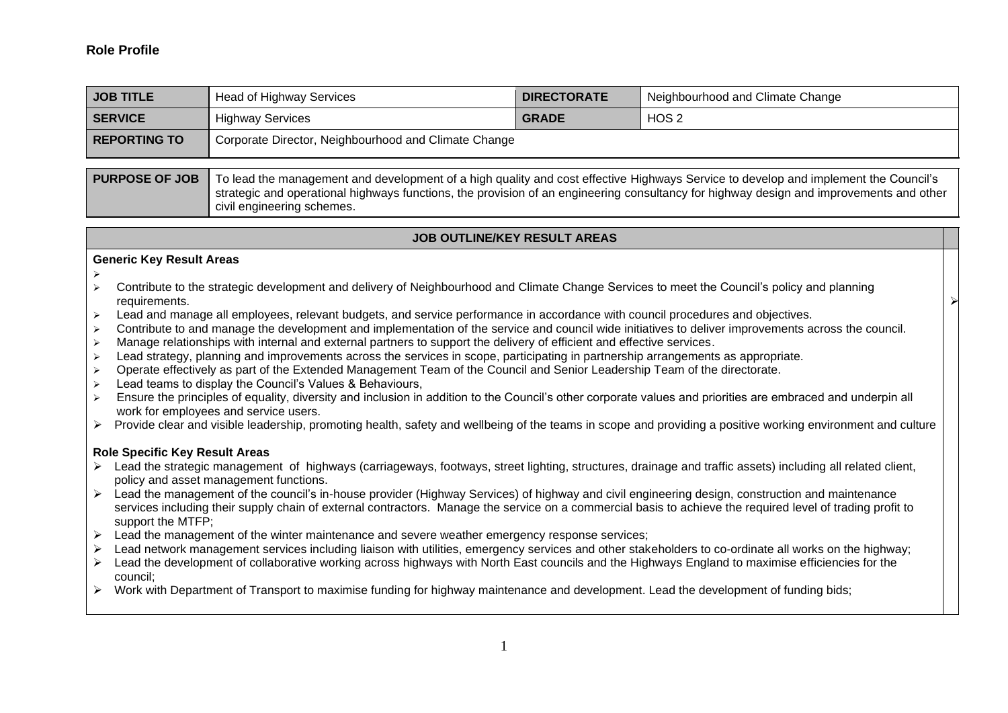## **Role Profile**

| <b>JOB TITLE</b>    | Head of Highway Services                             | <b>DIRECTORATE</b> | Neighbourhood and Climate Change |
|---------------------|------------------------------------------------------|--------------------|----------------------------------|
| <b>SERVICE</b>      | <b>Highway Services</b>                              | <b>GRADE</b>       | HOS <sub>2</sub>                 |
| <b>REPORTING TO</b> | Corporate Director, Neighbourhood and Climate Change |                    |                                  |

**PURPOSE OF JOB** To lead the management and development of a high quality and cost effective Highways Service to develop and implement the Council's strategic and operational highways functions, the provision of an engineering consultancy for highway design and improvements and other civil engineering schemes.

# **JOB OUTLINE/KEY RESULT AREAS**

➢

#### **Generic Key Result Areas**

- ➢
- ➢ Contribute to the strategic development and delivery of Neighbourhood and Climate Change Services to meet the Council's policy and planning requirements.
- ➢ Lead and manage all employees, relevant budgets, and service performance in accordance with council procedures and objectives.
- ➢ Contribute to and manage the development and implementation of the service and council wide initiatives to deliver improvements across the council.
- ➢ Manage relationships with internal and external partners to support the delivery of efficient and effective services.
- ➢ Lead strategy, planning and improvements across the services in scope, participating in partnership arrangements as appropriate.
- ➢ Operate effectively as part of the Extended Management Team of the Council and Senior Leadership Team of the directorate.
- Lead teams to display the Council's Values & Behaviours,
- ➢ Ensure the principles of equality, diversity and inclusion in addition to the Council's other corporate values and priorities are embraced and underpin all work for employees and service users.
- ➢ Provide clear and visible leadership, promoting health, safety and wellbeing of the teams in scope and providing a positive working environment and culture

## **Role Specific Key Result Areas**

- ➢ Lead the strategic management of highways (carriageways, footways, street lighting, structures, drainage and traffic assets) including all related client, policy and asset management functions.
- ➢ Lead the management of the council's in-house provider (Highway Services) of highway and civil engineering design, construction and maintenance services including their supply chain of external contractors. Manage the service on a commercial basis to achieve the required level of trading profit to support the MTFP;
- $\triangleright$  Lead the management of the winter maintenance and severe weather emergency response services;
- ➢ Lead network management services including liaison with utilities, emergency services and other stakeholders to co-ordinate all works on the highway;
- ➢ Lead the development of collaborative working across highways with North East councils and the Highways England to maximise efficiencies for the council;
- ➢ Work with Department of Transport to maximise funding for highway maintenance and development. Lead the development of funding bids;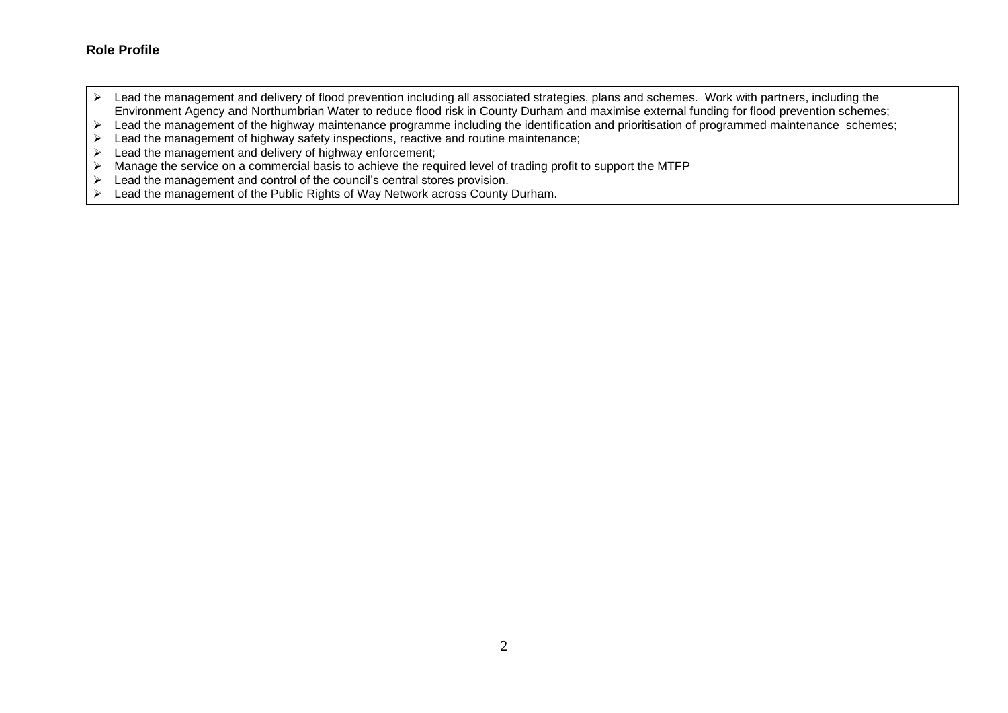# **Role Profile**

- ➢ Lead the management and delivery of flood prevention including all associated strategies, plans and schemes. Work with partners, including the Environment Agency and Northumbrian Water to reduce flood risk in County Durham and maximise external funding for flood prevention schemes;
- ➢ Lead the management of the highway maintenance programme including the identification and prioritisation of programmed maintenance schemes;
- ➢ Lead the management of highway safety inspections, reactive and routine maintenance;
- $\triangleright$  Lead the management and delivery of highway enforcement;
- ➢ Manage the service on a commercial basis to achieve the required level of trading profit to support the MTFP
- ➢ Lead the management and control of the council's central stores provision.
- ➢ Lead the management of the Public Rights of Way Network across County Durham.